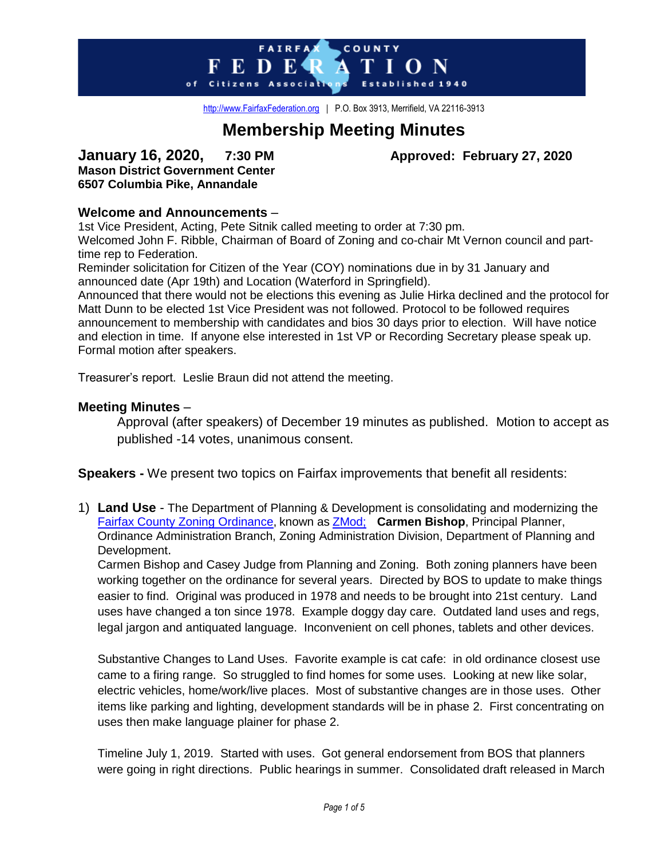

[http://www.FairfaxFederation.org](http://www.fairfaxfederation.org/) | P.O. Box 3913, Merrifield, VA 22116-3913

# **Membership Meeting Minutes**

# **January 16, 2020, 7:30 PM Approved: February 27, 2020 Mason District Government Center 6507 Columbia Pike, Annandale**

# **Welcome and Announcements** –

1st Vice President, Acting, Pete Sitnik called meeting to order at 7:30 pm. Welcomed John F. Ribble, Chairman of Board of Zoning and co-chair Mt Vernon council and parttime rep to Federation.

Reminder solicitation for Citizen of the Year (COY) nominations due in by 31 January and announced date (Apr 19th) and Location (Waterford in Springfield).

Announced that there would not be elections this evening as Julie Hirka declined and the protocol for Matt Dunn to be elected 1st Vice President was not followed. Protocol to be followed requires announcement to membership with candidates and bios 30 days prior to election. Will have notice and election in time. If anyone else interested in 1st VP or Recording Secretary please speak up. Formal motion after speakers.

Treasurer's report. Leslie Braun did not attend the meeting.

# **Meeting Minutes** –

Approval (after speakers) of December 19 minutes as published. Motion to accept as published -14 votes, unanimous consent.

**Speakers -** We present two topics on Fairfax improvements that benefit all residents:

1) **Land Use** - The Department of Planning & Development is consolidating and modernizing the [Fairfax County Zoning Ordinance,](https://www.fairfaxcounty.gov/planning-development/zoning-ordinance) known as [ZMod;](https://www.fairfaxcounty.gov/planning-development/zmod) **Carmen Bishop**, Principal Planner, Ordinance Administration Branch, [Zoning Administration Division, Department of Planning and](https://www.fairfaxcounty.gov/planning-development/about-us/zoning-administration-division)  [Development](https://www.fairfaxcounty.gov/planning-development/about-us/zoning-administration-division).

Carmen Bishop and Casey Judge from Planning and Zoning. Both zoning planners have been working together on the ordinance for several years. Directed by BOS to update to make things easier to find. Original was produced in 1978 and needs to be brought into 21st century. Land uses have changed a ton since 1978. Example doggy day care. Outdated land uses and regs, legal jargon and antiquated language. Inconvenient on cell phones, tablets and other devices.

Substantive Changes to Land Uses. Favorite example is cat cafe: in old ordinance closest use came to a firing range. So struggled to find homes for some uses. Looking at new like solar, electric vehicles, home/work/live places. Most of substantive changes are in those uses. Other items like parking and lighting, development standards will be in phase 2. First concentrating on uses then make language plainer for phase 2.

Timeline July 1, 2019. Started with uses. Got general endorsement from BOS that planners were going in right directions. Public hearings in summer. Consolidated draft released in March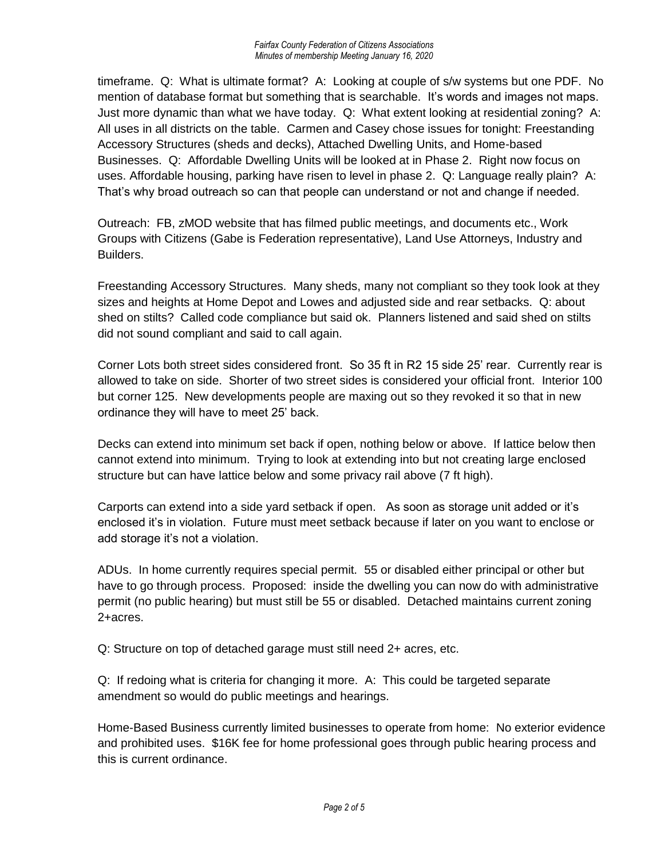timeframe. Q: What is ultimate format? A: Looking at couple of s/w systems but one PDF. No mention of database format but something that is searchable. It's words and images not maps. Just more dynamic than what we have today. Q: What extent looking at residential zoning? A: All uses in all districts on the table. Carmen and Casey chose issues for tonight: Freestanding Accessory Structures (sheds and decks), Attached Dwelling Units, and Home-based Businesses. Q: Affordable Dwelling Units will be looked at in Phase 2. Right now focus on uses. Affordable housing, parking have risen to level in phase 2. Q: Language really plain? A: That's why broad outreach so can that people can understand or not and change if needed.

Outreach: FB, zMOD website that has filmed public meetings, and documents etc., Work Groups with Citizens (Gabe is Federation representative), Land Use Attorneys, Industry and Builders.

Freestanding Accessory Structures. Many sheds, many not compliant so they took look at they sizes and heights at Home Depot and Lowes and adjusted side and rear setbacks. Q: about shed on stilts? Called code compliance but said ok. Planners listened and said shed on stilts did not sound compliant and said to call again.

Corner Lots both street sides considered front. So 35 ft in R2 15 side 25' rear. Currently rear is allowed to take on side. Shorter of two street sides is considered your official front. Interior 100 but corner 125. New developments people are maxing out so they revoked it so that in new ordinance they will have to meet 25' back.

Decks can extend into minimum set back if open, nothing below or above. If lattice below then cannot extend into minimum. Trying to look at extending into but not creating large enclosed structure but can have lattice below and some privacy rail above (7 ft high).

Carports can extend into a side yard setback if open. As soon as storage unit added or it's enclosed it's in violation. Future must meet setback because if later on you want to enclose or add storage it's not a violation.

ADUs. In home currently requires special permit. 55 or disabled either principal or other but have to go through process. Proposed: inside the dwelling you can now do with administrative permit (no public hearing) but must still be 55 or disabled. Detached maintains current zoning 2+acres.

Q: Structure on top of detached garage must still need 2+ acres, etc.

Q: If redoing what is criteria for changing it more. A: This could be targeted separate amendment so would do public meetings and hearings.

Home-Based Business currently limited businesses to operate from home: No exterior evidence and prohibited uses. \$16K fee for home professional goes through public hearing process and this is current ordinance.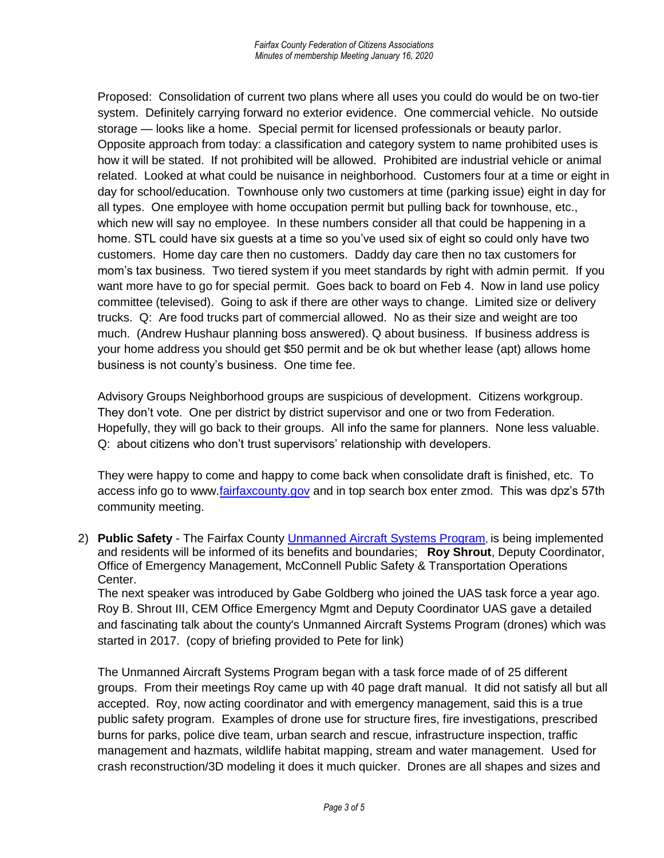Proposed: Consolidation of current two plans where all uses you could do would be on two-tier system. Definitely carrying forward no exterior evidence. One commercial vehicle. No outside storage — looks like a home. Special permit for licensed professionals or beauty parlor. Opposite approach from today: a classification and category system to name prohibited uses is how it will be stated. If not prohibited will be allowed. Prohibited are industrial vehicle or animal related. Looked at what could be nuisance in neighborhood. Customers four at a time or eight in day for school/education. Townhouse only two customers at time (parking issue) eight in day for all types. One employee with home occupation permit but pulling back for townhouse, etc., which new will say no employee. In these numbers consider all that could be happening in a home. STL could have six guests at a time so you've used six of eight so could only have two customers. Home day care then no customers. Daddy day care then no tax customers for mom's tax business. Two tiered system if you meet standards by right with admin permit. If you want more have to go for special permit. Goes back to board on Feb 4. Now in land use policy committee (televised). Going to ask if there are other ways to change. Limited size or delivery trucks. Q: Are food trucks part of commercial allowed. No as their size and weight are too much. (Andrew Hushaur planning boss answered). Q about business. If business address is your home address you should get \$50 permit and be ok but whether lease (apt) allows home business is not county's business. One time fee.

Advisory Groups Neighborhood groups are suspicious of development. Citizens workgroup. They don't vote. One per district by district supervisor and one or two from Federation. Hopefully, they will go back to their groups. All info the same for planners. None less valuable. Q: about citizens who don't trust supervisors' relationship with developers.

They were happy to come and happy to come back when consolidate draft is finished, etc. To access info go to www[.fairfaxcounty.gov](http://fairfaxcounty.gov/) and in top search box enter zmod. This was dpz's 57th community meeting.

2) **Public Safety** - The Fairfax County [Unmanned Aircraft Systems Program](https://www.fairfaxcounty.gov/uas/unmanned-aircraft-systems), is being implemented and residents will be informed of its benefits and boundaries; **Roy Shrout**, Deputy Coordinator, Office of Emergency Management, McConnell Public Safety & Transportation Operations Center.

The next speaker was introduced by Gabe Goldberg who joined the UAS task force a year ago. Roy B. Shrout III, CEM Office Emergency Mgmt and Deputy Coordinator UAS gave a detailed and fascinating talk about the county's Unmanned Aircraft Systems Program (drones) which was started in 2017. (copy of briefing provided to Pete for link)

The Unmanned Aircraft Systems Program began with a task force made of of 25 different groups. From their meetings Roy came up with 40 page draft manual. It did not satisfy all but all accepted. Roy, now acting coordinator and with emergency management, said this is a true public safety program. Examples of drone use for structure fires, fire investigations, prescribed burns for parks, police dive team, urban search and rescue, infrastructure inspection, traffic management and hazmats, wildlife habitat mapping, stream and water management. Used for crash reconstruction/3D modeling it does it much quicker. Drones are all shapes and sizes and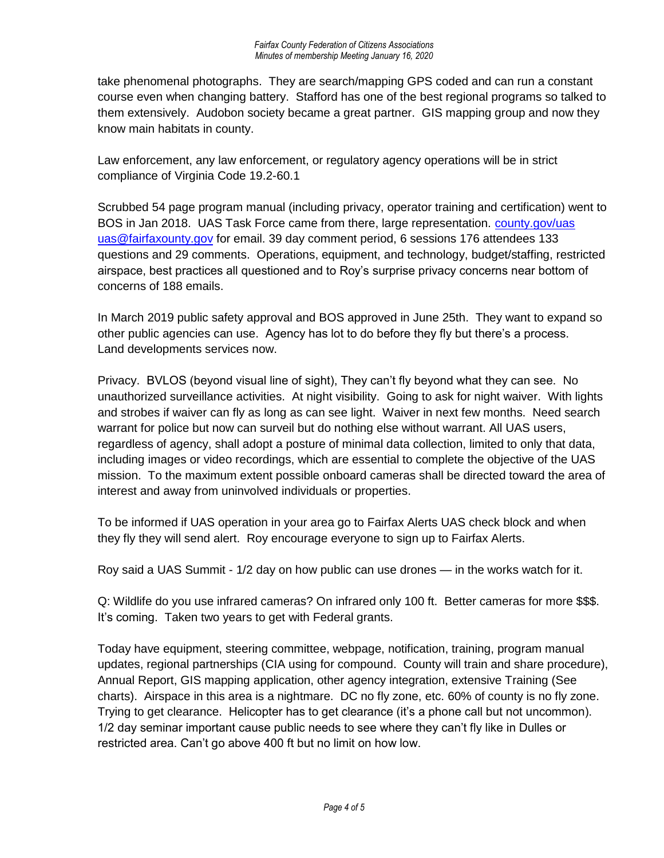take phenomenal photographs. They are search/mapping GPS coded and can run a constant course even when changing battery. Stafford has one of the best regional programs so talked to them extensively. Audobon society became a great partner. GIS mapping group and now they know main habitats in county.

Law enforcement, any law enforcement, or regulatory agency operations will be in strict compliance of Virginia Code 19.2-60.1

Scrubbed 54 page program manual (including privacy, operator training and certification) went to BOS in Jan 2018. UAS Task Force came from there, large representation. [county.gov/uas](http://county.gov/uas) [uas@fairfaxounty.gov](mailto:uas@fairfaxounty.gov) for email. 39 day comment period, 6 sessions 176 attendees 133 questions and 29 comments. Operations, equipment, and technology, budget/staffing, restricted airspace, best practices all questioned and to Roy's surprise privacy concerns near bottom of concerns of 188 emails.

In March 2019 public safety approval and BOS approved in June 25th. They want to expand so other public agencies can use. Agency has lot to do before they fly but there's a process. Land developments services now.

Privacy. BVLOS (beyond visual line of sight), They can't fly beyond what they can see. No unauthorized surveillance activities. At night visibility. Going to ask for night waiver. With lights and strobes if waiver can fly as long as can see light. Waiver in next few months. Need search warrant for police but now can surveil but do nothing else without warrant. All UAS users, regardless of agency, shall adopt a posture of minimal data collection, limited to only that data, including images or video recordings, which are essential to complete the objective of the UAS mission. To the maximum extent possible onboard cameras shall be directed toward the area of interest and away from uninvolved individuals or properties.

To be informed if UAS operation in your area go to Fairfax Alerts UAS check block and when they fly they will send alert. Roy encourage everyone to sign up to Fairfax Alerts.

Roy said a UAS Summit - 1/2 day on how public can use drones — in the works watch for it.

Q: Wildlife do you use infrared cameras? On infrared only 100 ft. Better cameras for more \$\$\$. It's coming. Taken two years to get with Federal grants.

Today have equipment, steering committee, webpage, notification, training, program manual updates, regional partnerships (CIA using for compound. County will train and share procedure), Annual Report, GIS mapping application, other agency integration, extensive Training (See charts). Airspace in this area is a nightmare. DC no fly zone, etc. 60% of county is no fly zone. Trying to get clearance. Helicopter has to get clearance (it's a phone call but not uncommon). 1/2 day seminar important cause public needs to see where they can't fly like in Dulles or restricted area. Can't go above 400 ft but no limit on how low.